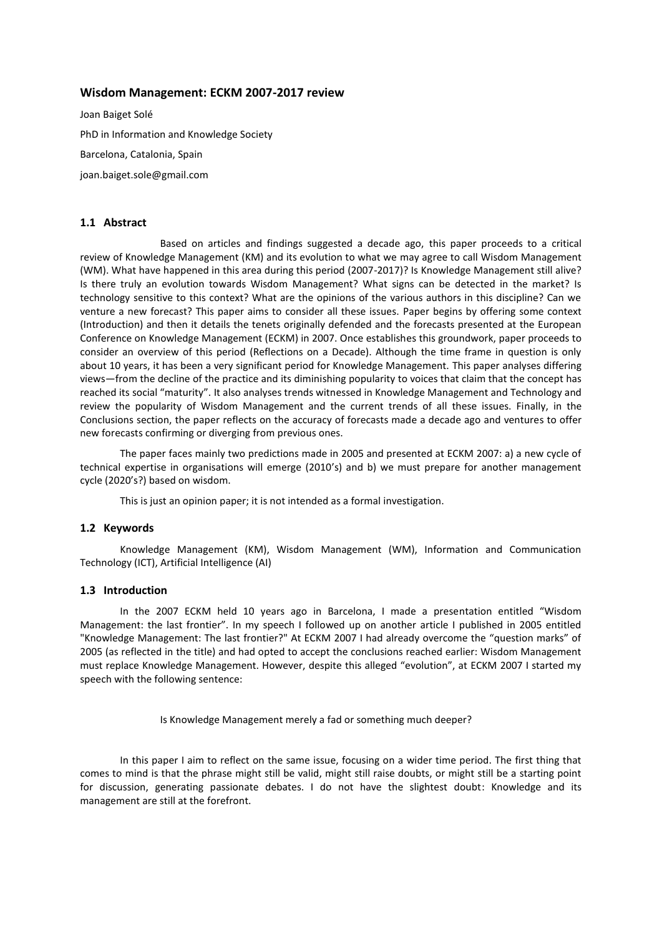# **Wisdom Management: ECKM 2007-2017 review**

Joan Baiget Solé PhD in Information and Knowledge Society Barcelona, Catalonia, Spain joan.baiget.sole@gmail.com

# **1.1 Abstract**

Based on articles and findings suggested a decade ago, this paper proceeds to a critical review of Knowledge Management (KM) and its evolution to what we may agree to call Wisdom Management (WM). What have happened in this area during this period (2007-2017)? Is Knowledge Management still alive? Is there truly an evolution towards Wisdom Management? What signs can be detected in the market? Is technology sensitive to this context? What are the opinions of the various authors in this discipline? Can we venture a new forecast? This paper aims to consider all these issues. Paper begins by offering some context (Introduction) and then it details the tenets originally defended and the forecasts presented at the European Conference on Knowledge Management (ECKM) in 2007. Once establishes this groundwork, paper proceeds to consider an overview of this period (Reflections on a Decade). Although the time frame in question is only about 10 years, it has been a very significant period for Knowledge Management. This paper analyses differing views—from the decline of the practice and its diminishing popularity to voices that claim that the concept has reached its social "maturity". It also analyses trends witnessed in Knowledge Management and Technology and review the popularity of Wisdom Management and the current trends of all these issues. Finally, in the Conclusions section, the paper reflects on the accuracy of forecasts made a decade ago and ventures to offer new forecasts confirming or diverging from previous ones.

The paper faces mainly two predictions made in 2005 and presented at ECKM 2007: a) a new cycle of technical expertise in organisations will emerge (2010's) and b) we must prepare for another management cycle (2020's?) based on wisdom.

This is just an opinion paper; it is not intended as a formal investigation.

### **1.2 Keywords**

Knowledge Management (KM), Wisdom Management (WM), Information and Communication Technology (ICT), Artificial Intelligence (AI)

## **1.3 Introduction**

In the 2007 ECKM held 10 years ago in Barcelona, I made a presentation entitled "Wisdom Management: the last frontier". In my speech I followed up on another article I published in 2005 entitled "Knowledge Management: The last frontier?" At ECKM 2007 I had already overcome the "question marks" of 2005 (as reflected in the title) and had opted to accept the conclusions reached earlier: Wisdom Management must replace Knowledge Management. However, despite this alleged "evolution", at ECKM 2007 I started my speech with the following sentence:

Is Knowledge Management merely a fad or something much deeper?

In this paper I aim to reflect on the same issue, focusing on a wider time period. The first thing that comes to mind is that the phrase might still be valid, might still raise doubts, or might still be a starting point for discussion, generating passionate debates. I do not have the slightest doubt: Knowledge and its management are still at the forefront.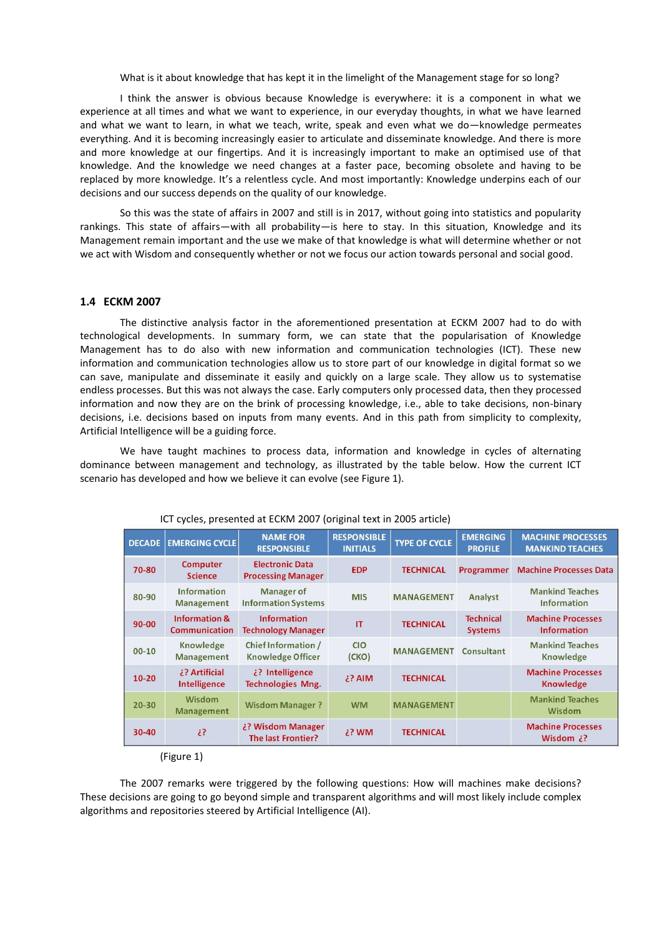What is it about knowledge that has kept it in the limelight of the Management stage for so long?

I think the answer is obvious because Knowledge is everywhere: it is a component in what we experience at all times and what we want to experience, in our everyday thoughts, in what we have learned and what we want to learn, in what we teach, write, speak and even what we do—knowledge permeates everything. And it is becoming increasingly easier to articulate and disseminate knowledge. And there is more and more knowledge at our fingertips. And it is increasingly important to make an optimised use of that knowledge. And the knowledge we need changes at a faster pace, becoming obsolete and having to be replaced by more knowledge. It's a relentless cycle. And most importantly: Knowledge underpins each of our decisions and our success depends on the quality of our knowledge.

So this was the state of affairs in 2007 and still is in 2017, without going into statistics and popularity rankings. This state of affairs—with all probability—is here to stay. In this situation, Knowledge and its Management remain important and the use we make of that knowledge is what will determine whether or not we act with Wisdom and consequently whether or not we focus our action towards personal and social good.

### **1.4 ECKM 2007**

The distinctive analysis factor in the aforementioned presentation at ECKM 2007 had to do with technological developments. In summary form, we can state that the popularisation of Knowledge Management has to do also with new information and communication technologies (ICT). These new information and communication technologies allow us to store part of our knowledge in digital format so we can save, manipulate and disseminate it easily and quickly on a large scale. They allow us to systematise endless processes. But this was not always the case. Early computers only processed data, then they processed information and now they are on the brink of processing knowledge, i.e., able to take decisions, non-binary decisions, i.e. decisions based on inputs from many events. And in this path from simplicity to complexity, Artificial Intelligence will be a guiding force.

We have taught machines to process data, information and knowledge in cycles of alternating dominance between management and technology, as illustrated by the table below. How the current ICT scenario has developed and how we believe it can evolve (see Figure 1).

| <b>DECADE</b> | <b>EMERGING CYCLE</b>                            | <b>NAME FOR</b><br><b>RESPONSIBLE</b>               | <b>RESPONSIBLE</b><br><b>INITIALS</b> | <b>TYPE OF CYCLE</b> | <b>EMERGING</b><br><b>PROFILE</b>  | <b>MACHINE PROCESSES</b><br><b>MANKIND TEACHES</b> |
|---------------|--------------------------------------------------|-----------------------------------------------------|---------------------------------------|----------------------|------------------------------------|----------------------------------------------------|
| 70-80         | <b>Computer</b><br><b>Science</b>                | <b>Electronic Data</b><br><b>Processing Manager</b> | <b>EDP</b>                            | <b>TECHNICAL</b>     | <b>Programmer</b>                  | <b>Machine Processes Data</b>                      |
| 80-90         | <b>Information</b><br><b>Management</b>          | Manager of<br><b>Information Systems</b>            | <b>MIS</b>                            | <b>MANAGEMENT</b>    | Analyst                            | <b>Mankind Teaches</b><br><b>Information</b>       |
| $90 - 00$     | <b>Information &amp;</b><br><b>Communication</b> | <b>Information</b><br><b>Technology Manager</b>     | IT                                    | <b>TECHNICAL</b>     | <b>Technical</b><br><b>Systems</b> | <b>Machine Processes</b><br><b>Information</b>     |
| $00 - 10$     | Knowledge<br>Management                          | Chief Information /<br><b>Knowledge Officer</b>     | <b>CIO</b><br>(CKO)                   | <b>MANAGEMENT</b>    | Consultant                         | <b>Mankind Teaches</b><br>Knowledge                |
| $10 - 20$     | ¿? Artificial<br><b>Intelligence</b>             | ¿? Intelligence<br><b>Technologies Mng.</b>         | ¿? AIM                                | <b>TECHNICAL</b>     |                                    | <b>Machine Processes</b><br><b>Knowledge</b>       |
| $20 - 30$     | <b>Wisdom</b><br><b>Management</b>               | <b>Wisdom Manager?</b>                              | <b>WM</b>                             | <b>MANAGEMENT</b>    |                                    | <b>Mankind Teaches</b><br>Wisdom                   |
| $30 - 40$     | έ?                                               | ¿? Wisdom Manager<br>The last Frontier?             | ¿? WM                                 | <b>TECHNICAL</b>     |                                    | <b>Machine Processes</b><br>Wisdom $2$ ?           |

#### ICT cycles, presented at ECKM 2007 (original text in 2005 article)

(Figure 1)

The 2007 remarks were triggered by the following questions: How will machines make decisions? These decisions are going to go beyond simple and transparent algorithms and will most likely include complex algorithms and repositories steered by Artificial Intelligence (AI).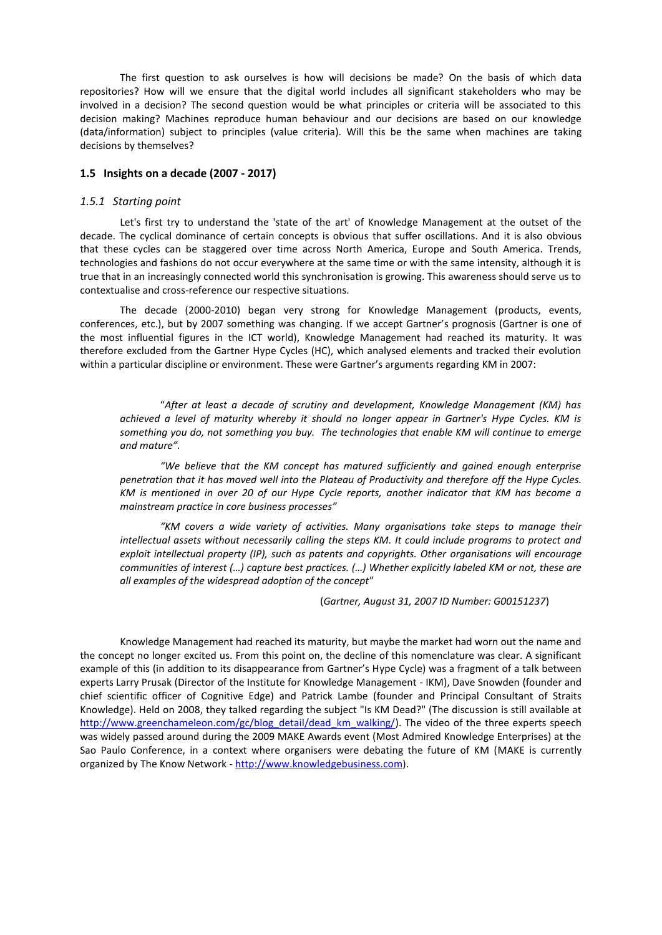The first question to ask ourselves is how will decisions be made? On the basis of which data repositories? How will we ensure that the digital world includes all significant stakeholders who may be involved in a decision? The second question would be what principles or criteria will be associated to this decision making? Machines reproduce human behaviour and our decisions are based on our knowledge (data/information) subject to principles (value criteria). Will this be the same when machines are taking decisions by themselves?

## **1.5 Insights on a decade (2007 - 2017)**

### *1.5.1 Starting point*

Let's first try to understand the 'state of the art' of Knowledge Management at the outset of the decade. The cyclical dominance of certain concepts is obvious that suffer oscillations. And it is also obvious that these cycles can be staggered over time across North America, Europe and South America. Trends, technologies and fashions do not occur everywhere at the same time or with the same intensity, although it is true that in an increasingly connected world this synchronisation is growing. This awareness should serve us to contextualise and cross-reference our respective situations.

The decade (2000-2010) began very strong for Knowledge Management (products, events, conferences, etc.), but by 2007 something was changing. If we accept Gartner's prognosis (Gartner is one of the most influential figures in the ICT world), Knowledge Management had reached its maturity. It was therefore excluded from the Gartner Hype Cycles (HC), which analysed elements and tracked their evolution within a particular discipline or environment. These were Gartner's arguments regarding KM in 2007:

"*After at least a decade of scrutiny and development, Knowledge Management (KM) has achieved a level of maturity whereby it should no longer appear in Gartner's Hype Cycles. KM is something you do, not something you buy. The technologies that enable KM will continue to emerge and mature".*

*"We believe that the KM concept has matured sufficiently and gained enough enterprise penetration that it has moved well into the Plateau of Productivity and therefore off the Hype Cycles. KM is mentioned in over 20 of our Hype Cycle reports, another indicator that KM has become a mainstream practice in core business processes"*

*"KM covers a wide variety of activities. Many organisations take steps to manage their intellectual assets without necessarily calling the steps KM. It could include programs to protect and exploit intellectual property (IP), such as patents and copyrights. Other organisations will encourage communities of interest (…) capture best practices. (…) Whether explicitly labeled KM or not, these are all examples of the widespread adoption of the concept*"

(*Gartner, August 31, 2007 ID Number: G00151237*)

Knowledge Management had reached its maturity, but maybe the market had worn out the name and the concept no longer excited us. From this point on, the decline of this nomenclature was clear. A significant example of this (in addition to its disappearance from Gartner's Hype Cycle) was a fragment of a talk between experts Larry Prusak (Director of the Institute for Knowledge Management - IKM), Dave Snowden (founder and chief scientific officer of Cognitive Edge) and Patrick Lambe (founder and Principal Consultant of Straits Knowledge). Held on 2008, they talked regarding the subject "Is KM Dead?" (The discussion is still available at [http://www.greenchameleon.com/gc/blog\\_detail/dead\\_km\\_walking/\)](http://www.greenchameleon.com/gc/blog_detail/dead_km_walking/). The video of the three experts speech was widely passed around during the 2009 MAKE Awards event (Most Admired Knowledge Enterprises) at the Sao Paulo Conference, in a context where organisers were debating the future of KM (MAKE is currently organized by The Know Network - [http://www.knowledgebusiness.com\)](http://www.knowledgebusiness.com/).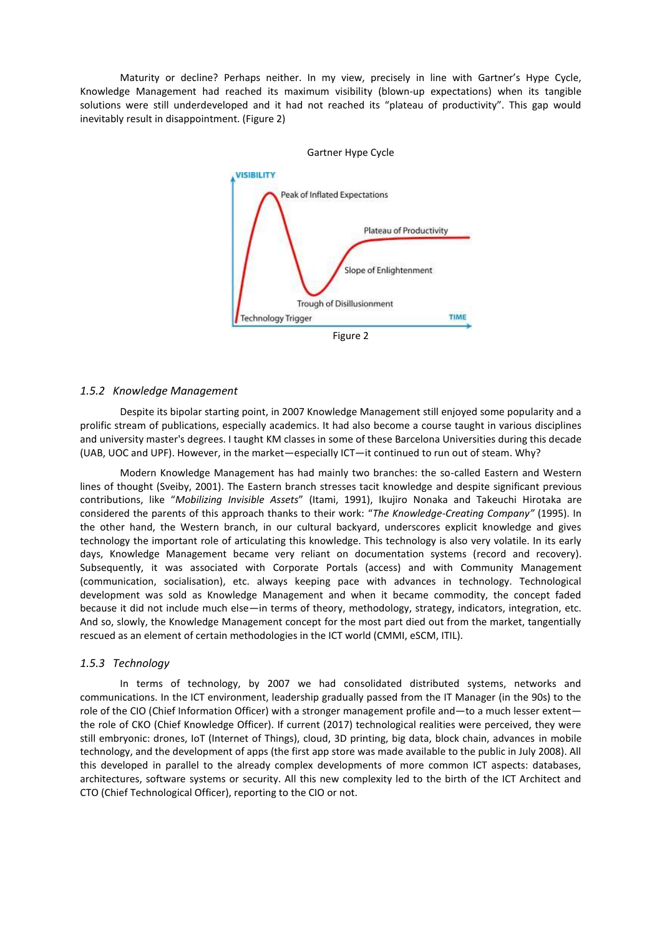Maturity or decline? Perhaps neither. In my view, precisely in line with Gartner's Hype Cycle, Knowledge Management had reached its maximum visibility (blown-up expectations) when its tangible solutions were still underdeveloped and it had not reached its "plateau of productivity". This gap would inevitably result in disappointment. (Figure 2)



Gartner Hype Cycle

#### *1.5.2 Knowledge Management*

Despite its bipolar starting point, in 2007 Knowledge Management still enjoyed some popularity and a prolific stream of publications, especially academics. It had also become a course taught in various disciplines and university master's degrees. I taught KM classes in some of these Barcelona Universities during this decade (UAB, UOC and UPF). However, in the market—especially ICT—it continued to run out of steam. Why?

Modern Knowledge Management has had mainly two branches: the so-called Eastern and Western lines of thought (Sveiby, 2001). The Eastern branch stresses tacit knowledge and despite significant previous contributions, like "*Mobilizing Invisible Assets*" (Itami, 1991), Ikujiro Nonaka and Takeuchi Hirotaka are considered the parents of this approach thanks to their work: "*The Knowledge-Creating Company"* (1995). In the other hand, the Western branch, in our cultural backyard, underscores explicit knowledge and gives technology the important role of articulating this knowledge. This technology is also very volatile. In its early days, Knowledge Management became very reliant on documentation systems (record and recovery). Subsequently, it was associated with Corporate Portals (access) and with Community Management (communication, socialisation), etc. always keeping pace with advances in technology. Technological development was sold as Knowledge Management and when it became commodity, the concept faded because it did not include much else—in terms of theory, methodology, strategy, indicators, integration, etc. And so, slowly, the Knowledge Management concept for the most part died out from the market, tangentially rescued as an element of certain methodologies in the ICT world (CMMI, eSCM, ITIL).

#### *1.5.3 Technology*

In terms of technology, by 2007 we had consolidated distributed systems, networks and communications. In the ICT environment, leadership gradually passed from the IT Manager (in the 90s) to the role of the CIO (Chief Information Officer) with a stronger management profile and—to a much lesser extent the role of CKO (Chief Knowledge Officer). If current (2017) technological realities were perceived, they were still embryonic: drones, IoT (Internet of Things), cloud, 3D printing, big data, block chain, advances in mobile technology, and the development of apps (the first app store was made available to the public in July 2008). All this developed in parallel to the already complex developments of more common ICT aspects: databases, architectures, software systems or security. All this new complexity led to the birth of the ICT Architect and CTO (Chief Technological Officer), reporting to the CIO or not.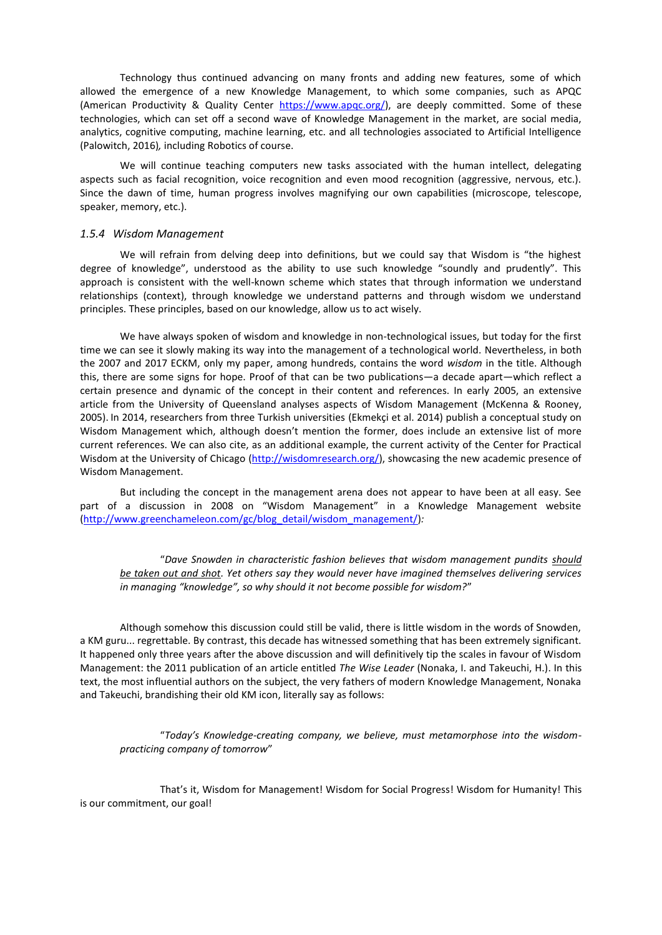Technology thus continued advancing on many fronts and adding new features, some of which allowed the emergence of a new Knowledge Management, to which some companies, such as APQC (American Productivity & Quality Center [https://www.apqc.org/\)](https://www.apqc.org/), are deeply committed. Some of these technologies, which can set off a second wave of Knowledge Management in the market, are social media, analytics, cognitive computing, machine learning, etc. and all technologies associated to Artificial Intelligence (Palowitch, 2016)*,* including Robotics of course.

We will continue teaching computers new tasks associated with the human intellect, delegating aspects such as facial recognition, voice recognition and even mood recognition (aggressive, nervous, etc.). Since the dawn of time, human progress involves magnifying our own capabilities (microscope, telescope, speaker, memory, etc.).

#### *1.5.4 Wisdom Management*

We will refrain from delving deep into definitions, but we could say that Wisdom is "the highest degree of knowledge", understood as the ability to use such knowledge "soundly and prudently". This approach is consistent with the well-known scheme which states that through information we understand relationships (context), through knowledge we understand patterns and through wisdom we understand principles. These principles, based on our knowledge, allow us to act wisely.

We have always spoken of wisdom and knowledge in non-technological issues, but today for the first time we can see it slowly making its way into the management of a technological world. Nevertheless, in both the 2007 and 2017 ECKM, only my paper, among hundreds, contains the word *wisdom* in the title. Although this, there are some signs for hope. Proof of that can be two publications—a decade apart—which reflect a certain presence and dynamic of the concept in their content and references. In early 2005, an extensive article from the University of Queensland analyses aspects of Wisdom Management (McKenna & Rooney, 2005). In 2014, researchers from three Turkish universities (Ekmekçi et al. 2014) publish a conceptual study on Wisdom Management which, although doesn't mention the former, does include an extensive list of more current references. We can also cite, as an additional example, the current activity of the Center for Practical Wisdom at the University of Chicago [\(http://wisdomresearch.org/\)](http://wisdomresearch.org/), showcasing the new academic presence of Wisdom Management.

But including the concept in the management arena does not appear to have been at all easy. See part of a discussion in 2008 on "Wisdom Management" in a Knowledge Management website [\(http://www.greenchameleon.com/gc/blog\\_detail/wisdom\\_management/\)](http://www.greenchameleon.com/gc/blog_detail/wisdom_management/)*:*

"*Dave Snowden in characteristic fashion believes that wisdom management pundits should be taken out and shot. Yet others say they would never have imagined themselves delivering services in managing "knowledge", so why should it not become possible for wisdom?*"

Although somehow this discussion could still be valid, there is little wisdom in the words of Snowden, a KM guru... regrettable. By contrast, this decade has witnessed something that has been extremely significant. It happened only three years after the above discussion and will definitively tip the scales in favour of Wisdom Management: the 2011 publication of an article entitled *The Wise Leader* (Nonaka, I. and Takeuchi, H.). In this text, the most influential authors on the subject, the very fathers of modern Knowledge Management, Nonaka and Takeuchi, brandishing their old KM icon, literally say as follows:

"*Today's Knowledge-creating company, we believe, must metamorphose into the wisdompracticing company of tomorrow*"

That's it, Wisdom for Management! Wisdom for Social Progress! Wisdom for Humanity! This is our commitment, our goal!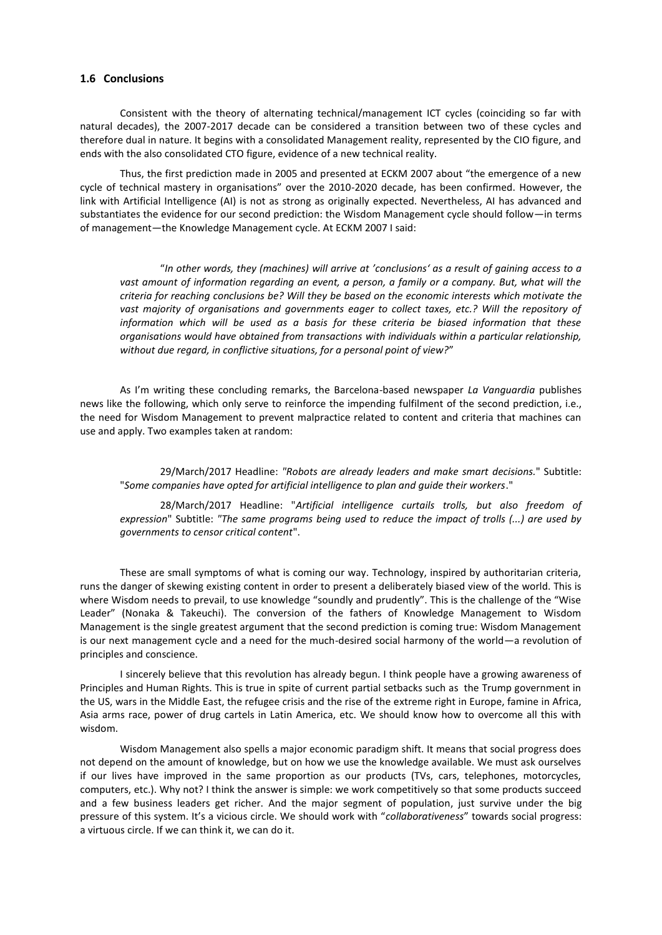# **1.6 Conclusions**

Consistent with the theory of alternating technical/management ICT cycles (coinciding so far with natural decades), the 2007-2017 decade can be considered a transition between two of these cycles and therefore dual in nature. It begins with a consolidated Management reality, represented by the CIO figure, and ends with the also consolidated CTO figure, evidence of a new technical reality.

Thus, the first prediction made in 2005 and presented at ECKM 2007 about "the emergence of a new cycle of technical mastery in organisations" over the 2010-2020 decade, has been confirmed. However, the link with Artificial Intelligence (AI) is not as strong as originally expected. Nevertheless, AI has advanced and substantiates the evidence for our second prediction: the Wisdom Management cycle should follow—in terms of management—the Knowledge Management cycle. At ECKM 2007 I said:

"*In other words, they (machines) will arrive at 'conclusions' as a result of gaining access to a vast amount of information regarding an event, a person, a family or a company. But, what will the criteria for reaching conclusions be? Will they be based on the economic interests which motivate the vast majority of organisations and governments eager to collect taxes, etc.? Will the repository of information which will be used as a basis for these criteria be biased information that these organisations would have obtained from transactions with individuals within a particular relationship, without due regard, in conflictive situations, for a personal point of view?*"

As I'm writing these concluding remarks, the Barcelona-based newspaper *La Vanguardia* publishes news like the following, which only serve to reinforce the impending fulfilment of the second prediction, i.e., the need for Wisdom Management to prevent malpractice related to content and criteria that machines can use and apply. Two examples taken at random:

29/March/2017 Headline: *"Robots are already leaders and make smart decisions.*" Subtitle: "*Some companies have opted for artificial intelligence to plan and guide their workers*."

28/March/2017 Headline: "*Artificial intelligence curtails trolls, but also freedom of expression*" Subtitle: *"The same programs being used to reduce the impact of trolls (...) are used by governments to censor critical content*".

These are small symptoms of what is coming our way. Technology, inspired by authoritarian criteria, runs the danger of skewing existing content in order to present a deliberately biased view of the world. This is where Wisdom needs to prevail, to use knowledge "soundly and prudently". This is the challenge of the "Wise Leader" (Nonaka & Takeuchi). The conversion of the fathers of Knowledge Management to Wisdom Management is the single greatest argument that the second prediction is coming true: Wisdom Management is our next management cycle and a need for the much-desired social harmony of the world—a revolution of principles and conscience.

I sincerely believe that this revolution has already begun. I think people have a growing awareness of Principles and Human Rights. This is true in spite of current partial setbacks such as the Trump government in the US, wars in the Middle East, the refugee crisis and the rise of the extreme right in Europe, famine in Africa, Asia arms race, power of drug cartels in Latin America, etc. We should know how to overcome all this with wisdom.

Wisdom Management also spells a major economic paradigm shift. It means that social progress does not depend on the amount of knowledge, but on how we use the knowledge available. We must ask ourselves if our lives have improved in the same proportion as our products (TVs, cars, telephones, motorcycles, computers, etc.). Why not? I think the answer is simple: we work competitively so that some products succeed and a few business leaders get richer. And the major segment of population, just survive under the big pressure of this system. It's a vicious circle. We should work with "*collaborativeness*" towards social progress: a virtuous circle. If we can think it, we can do it.